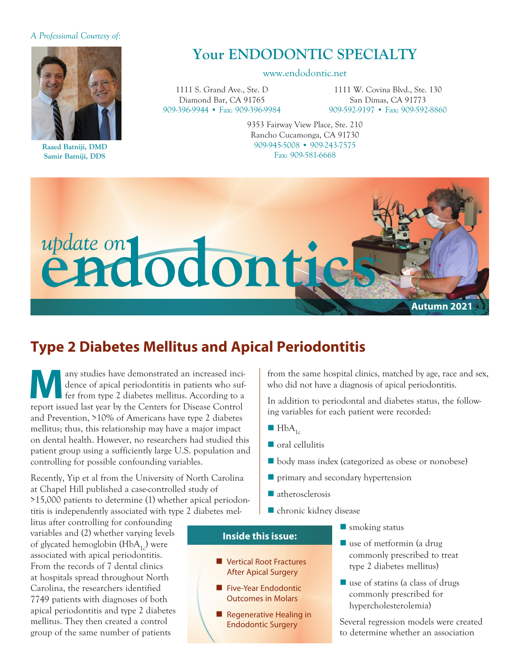#### *A Professional Courtesy of:*



**Raaed Batniji, DMD Samir Batniji, DDS**

# **Your ENDODONTIC SPECIALTY**

#### www.endodontic.net

1111 S. Grand Ave., Ste. D Diamond Bar, CA 91765 909-396-9944 • Fax: 909-396-9984

1111 W. Covina Blvd., Ste. 130 San Dimas, CA 91773 909-592-9197 • Fax: 909-592-8860

9353 Fairway View Place, Ste. 210 Rancho Cucamonga, CA 91730 909-945-5008 • 909-243-7575 Fax: 909-581-6668



## **Type 2 Diabetes Mellitus and Apical Periodontitis**

any studies have demonstrated an increased incidence of apical periodontitis in patients who suffer from type 2 diabetes mellitus. According to a report issued lest wear by the Centers for Disease Centrel. dence of apical periodontitis in patients who suffer from type 2 diabetes mellitus. According to a report issued last year by the Centers for Disease Control and Prevention, >10% of Americans have type 2 diabetes mellitus; thus, this relationship may have a major impact on dental health. However, no researchers had studied this patient group using a sufficiently large U.S. population and controlling for possible confounding variables.

Recently, Yip et al from the University of North Carolina at Chapel Hill published a case-controlled study of >15,000 patients to determine (1) whether apical periodontitis is independently associated with type 2 diabetes mel-

litus after controlling for confounding variables and (2) whether varying levels of glycated hemoglobin  $(HbA_{1c})$  were associated with apical periodontitis. From the records of 7 dental clinics at hospitals spread throughout North Carolina, the researchers identified 7749 patients with diagnoses of both apical periodontitis and type 2 diabetes mellitus. They then created a control group of the same number of patients

from the same hospital clinics, matched by age, race and sex, who did not have a diagnosis of apical periodontitis.

In addition to periodontal and diabetes status, the following variables for each patient were recorded:

- $HbA_{1c}$
- $\blacksquare$  oral cellulitis
- body mass index (categorized as obese or nonobese)
- $\blacksquare$  primary and secondary hypertension
- $\blacksquare$  atherosclerosis
- $\blacksquare$  chronic kidney disease

#### **Inside this issue:**

- **N** Vertical Root Fractures After Apical Surgery
- **Five-Year Endodontic** Outcomes in Molars
- **n** Regenerative Healing in Endodontic Surgery
- $\blacksquare$  smoking status
- $\blacksquare$  use of metformin (a drug commonly prescribed to treat type 2 diabetes mellitus)
- $\blacksquare$  use of statins (a class of drugs commonly prescribed for hypercholesterolemia)

Several regression models were created to determine whether an association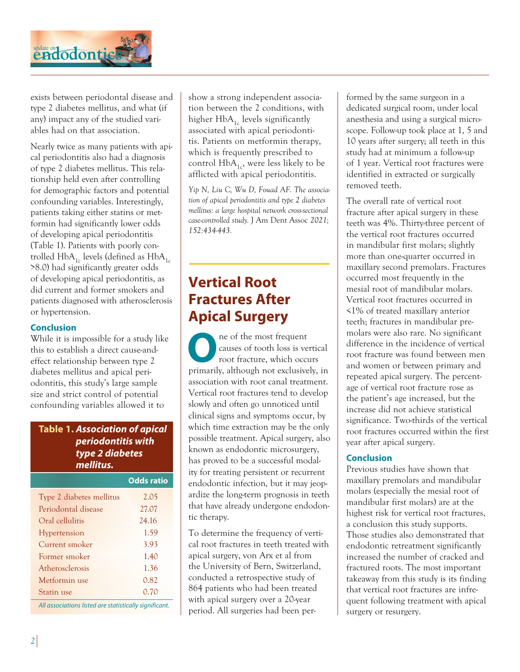

exists between periodontal disease and type 2 diabetes mellitus, and what (if any) impact any of the studied variables had on that association.

Nearly twice as many patients with apical periodontitis also had a diagnosis of type 2 diabetes mellitus. This relationship held even after controlling for demographic factors and potential confounding variables. Interestingly, patients taking either statins or metformin had significantly lower odds of developing apical periodontitis (Table 1). Patients with poorly controlled  $HbA_{1c}$  levels (defined as  $HbA_{1c}$ >8.0) had significantly greater odds of developing apical periodontitis, as did current and former smokers and patients diagnosed with atherosclerosis or hypertension.

#### **Conclusion**

While it is impossible for a study like this to establish a direct cause-andeffect relationship between type 2 diabetes mellitus and apical periodontitis, this study's large sample size and strict control of potential confounding variables allowed it to

### **Table 1.** *Association of apical periodontitis with type 2 diabetes mellitus.*

|                                                                                                                                                                                                                                       | <b>Odds ratio</b> |
|---------------------------------------------------------------------------------------------------------------------------------------------------------------------------------------------------------------------------------------|-------------------|
| Type 2 diabetes mellitus                                                                                                                                                                                                              | 2.05              |
| Periodontal disease                                                                                                                                                                                                                   | 27.07             |
| Oral cellulitis                                                                                                                                                                                                                       | 24.16             |
| Hypertension                                                                                                                                                                                                                          | 1.59              |
| Current smoker                                                                                                                                                                                                                        | 3.93              |
| Former smoker                                                                                                                                                                                                                         | 1.40              |
| Atherosclerosis                                                                                                                                                                                                                       | 1.36              |
| Metformin use                                                                                                                                                                                                                         | 0.82              |
| Statin use                                                                                                                                                                                                                            | 0.70              |
| $\mathbf{A} \mathbf{B}$ and the set of the set of the set of the set of the set of the set of the set of the set of the set of the set of the set of the set of the set of the set of the set of the set of the set of the set of the |                   |

*All associations listed are statistically significant.*

show a strong independent association between the 2 conditions, with higher  $HbA_{1c}$  levels significantly associated with apical periodontitis. Patients on metformin therapy, which is frequently prescribed to control  $HbA_{1c}$ , were less likely to be afflicted with apical periodontitis.

*Yip N, Liu C, Wu D, Fouad AF. The association of apical periodontitis and type 2 diabetes mellitus: a large hospital network cross-sectional case-controlled study.* J Am Dent Assoc *2021; 152:434-443.*

## **Vertical Root Fractures After Apical Surgery**

**O**ne of the most frequent root fracture, which occurs causes of tooth loss is vertical primarily, although not exclusively, in association with root canal treatment. Vertical root fractures tend to develop slowly and often go unnoticed until clinical signs and symptoms occur, by which time extraction may be the only possible treatment. Apical surgery, also known as endodontic microsurgery, has proved to be a successful modality for treating persistent or recurrent endodontic infection, but it may jeopardize the long-term prognosis in teeth that have already undergone endodontic therapy.

To determine the frequency of vertical root fractures in teeth treated with apical surgery, von Arx et al from the University of Bern, Switzerland, conducted a retrospective study of 864 patients who had been treated with apical surgery over a 20-year period. All surgeries had been performed by the same surgeon in a dedicated surgical room, under local anesthesia and using a surgical microscope. Follow-up took place at 1, 5 and 10 years after surgery; all teeth in this study had at minimum a follow-up of 1 year. Vertical root fractures were identified in extracted or surgically removed teeth.

The overall rate of vertical root fracture after apical surgery in these teeth was 4%. Thirty-three percent of the vertical root fractures occurred in mandibular first molars; slightly more than one-quarter occurred in maxillary second premolars. Fractures occurred most frequently in the mesial root of mandibular molars. Vertical root fractures occurred in <1% of treated maxillary anterior teeth; fractures in mandibular premolars were also rare. No significant difference in the incidence of vertical root fracture was found between men and women or between primary and repeated apical surgery. The percentage of vertical root fracture rose as the patient's age increased, but the increase did not achieve statistical significance. Two-thirds of the vertical root fractures occurred within the first year after apical surgery.

### **Conclusion**

Previous studies have shown that maxillary premolars and mandibular molars (especially the mesial root of mandibular first molars) are at the highest risk for vertical root fractures, a conclusion this study supports. Those studies also demonstrated that endodontic retreatment significantly increased the number of cracked and fractured roots. The most important takeaway from this study is its finding that vertical root fractures are infrequent following treatment with apical surgery or resurgery.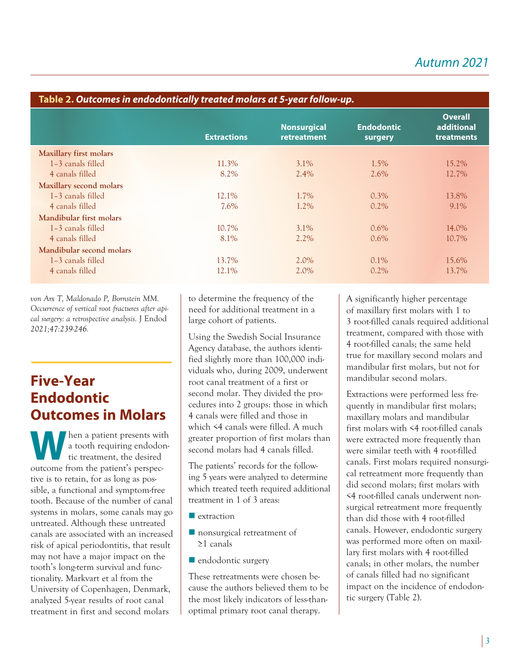| Table 2. Outcomes in endodontically treated molars at 5-year follow-up. |                    |                                   |                              |                                            |  |
|-------------------------------------------------------------------------|--------------------|-----------------------------------|------------------------------|--------------------------------------------|--|
|                                                                         | <b>Extractions</b> | <b>Nonsurgical</b><br>retreatment | <b>Endodontic</b><br>surgery | <b>Overall</b><br>additional<br>treatments |  |
| Maxillary first molars                                                  |                    |                                   |                              |                                            |  |
| 1-3 canals filled                                                       | 11.3%              | $3.1\%$                           | 1.5%                         | 15.2%                                      |  |
| 4 canals filled                                                         | 8.2%               | 2.4%                              | 2.6%                         | 12.7%                                      |  |
| Maxillary second molars                                                 |                    |                                   |                              |                                            |  |
| 1-3 canals filled                                                       | 12.1%              | 1.7%                              | $0.3\%$                      | 13.8%                                      |  |
| 4 canals filled                                                         | 7.6%               | 1.2%                              | $0.2\%$                      | 9.1%                                       |  |
| Mandibular first molars                                                 |                    |                                   |                              |                                            |  |
| 1-3 canals filled                                                       | 10.7%              | 3.1%                              | $0.6\%$                      | 14.0%                                      |  |
| 4 canals filled                                                         | 8.1%               | $2.2\%$                           | $0.6\%$                      | 10.7%                                      |  |
| Mandibular second molars                                                |                    |                                   |                              |                                            |  |
| 1-3 canals filled                                                       | 13.7%              | 2.0%                              | $0.1\%$                      | 15.6%                                      |  |
| 4 canals filled                                                         | 12.1%              | 2.0%                              | $0.2\%$                      | 13.7%                                      |  |

*von Arx T, Maldonado P, Bornstein MM. Occurrence of vertical root fractures after apical surgery: a retrospective analysis.* J Endod *2021;47:239-246.*

# **Five-Year Endodontic Outcomes in Molars**

Wen a patient presents with<br>a tooth requiring endodontic treatment, the desired<br>autrema from the patient's perspec a tooth requiring endodontic treatment, the desired outcome from the patient's perspective is to retain, for as long as possible, a functional and symptom-free tooth. Because of the number of canal systems in molars, some canals may go untreated. Although these untreated canals are associated with an increased risk of apical periodontitis, that result may not have a major impact on the tooth's long-term survival and functionality. Markvart et al from the University of Copenhagen, Denmark, analyzed 5-year results of root canal treatment in first and second molars

to determine the frequency of the need for additional treatment in a large cohort of patients.

Using the Swedish Social Insurance Agency database, the authors identified slightly more than 100,000 individuals who, during 2009, underwent root canal treatment of a first or second molar. They divided the procedures into 2 groups: those in which 4 canals were filled and those in which <4 canals were filled. A much greater proportion of first molars than second molars had 4 canals filled.

The patients' records for the following 5 years were analyzed to determine which treated teeth required additional treatment in 1 of 3 areas:

- $\blacksquare$  extraction
- nonsurgical retreatment of ≥1 canals
- $\blacksquare$  endodontic surgery

These retreatments were chosen be cause the authors believed them to be the most likely indicators of less-thanoptimal primary root canal therapy.

A significantly higher percentage of maxillary first molars with 1 to 3 root-filled canals required additional treatment, compared with those with 4 root-filled canals; the same held true for maxillary second molars and mandibular first molars, but not for mandibular second molars.

Extractions were performed less frequently in mandibular first molars; maxillary molars and mandibular first molars with <4 root-filled canals were extracted more frequently than were similar teeth with 4 root-filled canals. First molars required nonsurgical retreatment more frequently than did second molars; first molars with <4 root-filled canals underwent nonsurgical retreatment more frequently than did those with 4 root-filled canals. However, endodontic surgery was performed more often on maxillary first molars with 4 root-filled canals; in other molars, the number of canals filled had no significant impact on the incidence of endodontic surgery (Table 2).